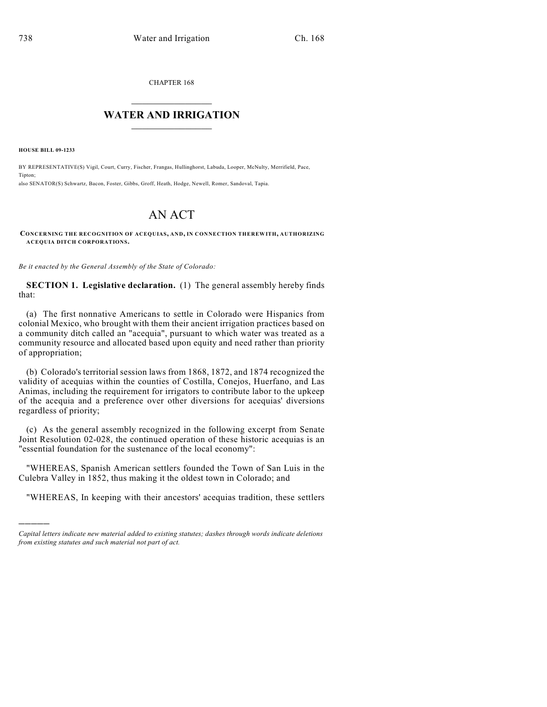CHAPTER 168

## $\mathcal{L}_\text{max}$  . The set of the set of the set of the set of the set of the set of the set of the set of the set of the set of the set of the set of the set of the set of the set of the set of the set of the set of the set **WATER AND IRRIGATION**  $\_$   $\_$

**HOUSE BILL 09-1233**

)))))

BY REPRESENTATIVE(S) Vigil, Court, Curry, Fischer, Frangas, Hullinghorst, Labuda, Looper, McNulty, Merrifield, Pace, Tipton; also SENATOR(S) Schwartz, Bacon, Foster, Gibbs, Groff, Heath, Hodge, Newell, Romer, Sandoval, Tapia.

## AN ACT

**CONCERNING THE RECOGNITION OF ACEQUIAS, AND, IN CONNECTION THEREWITH, AUTHORIZING ACEQUIA DITCH CORPORATIONS.**

*Be it enacted by the General Assembly of the State of Colorado:*

**SECTION 1. Legislative declaration.** (1) The general assembly hereby finds that:

(a) The first nonnative Americans to settle in Colorado were Hispanics from colonial Mexico, who brought with them their ancient irrigation practices based on a community ditch called an "acequia", pursuant to which water was treated as a community resource and allocated based upon equity and need rather than priority of appropriation;

(b) Colorado's territorial session laws from 1868, 1872, and 1874 recognized the validity of acequias within the counties of Costilla, Conejos, Huerfano, and Las Animas, including the requirement for irrigators to contribute labor to the upkeep of the acequia and a preference over other diversions for acequias' diversions regardless of priority;

(c) As the general assembly recognized in the following excerpt from Senate Joint Resolution 02-028, the continued operation of these historic acequias is an "essential foundation for the sustenance of the local economy":

"WHEREAS, Spanish American settlers founded the Town of San Luis in the Culebra Valley in 1852, thus making it the oldest town in Colorado; and

"WHEREAS, In keeping with their ancestors' acequias tradition, these settlers

*Capital letters indicate new material added to existing statutes; dashes through words indicate deletions from existing statutes and such material not part of act.*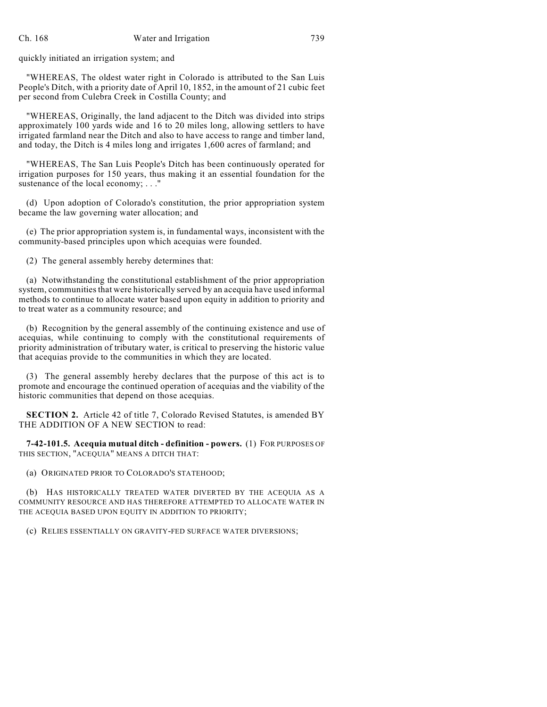quickly initiated an irrigation system; and

"WHEREAS, The oldest water right in Colorado is attributed to the San Luis People's Ditch, with a priority date of April 10, 1852, in the amount of 21 cubic feet per second from Culebra Creek in Costilla County; and

"WHEREAS, Originally, the land adjacent to the Ditch was divided into strips approximately 100 yards wide and 16 to 20 miles long, allowing settlers to have irrigated farmland near the Ditch and also to have access to range and timber land, and today, the Ditch is 4 miles long and irrigates 1,600 acres of farmland; and

"WHEREAS, The San Luis People's Ditch has been continuously operated for irrigation purposes for 150 years, thus making it an essential foundation for the sustenance of the local economy; ..."

(d) Upon adoption of Colorado's constitution, the prior appropriation system became the law governing water allocation; and

(e) The prior appropriation system is, in fundamental ways, inconsistent with the community-based principles upon which acequias were founded.

(2) The general assembly hereby determines that:

(a) Notwithstanding the constitutional establishment of the prior appropriation system, communities that were historically served by an acequia have used informal methods to continue to allocate water based upon equity in addition to priority and to treat water as a community resource; and

(b) Recognition by the general assembly of the continuing existence and use of acequias, while continuing to comply with the constitutional requirements of priority administration of tributary water, is critical to preserving the historic value that acequias provide to the communities in which they are located.

(3) The general assembly hereby declares that the purpose of this act is to promote and encourage the continued operation of acequias and the viability of the historic communities that depend on those acequias.

**SECTION 2.** Article 42 of title 7, Colorado Revised Statutes, is amended BY THE ADDITION OF A NEW SECTION to read:

**7-42-101.5. Acequia mutual ditch - definition - powers.** (1) FOR PURPOSES OF THIS SECTION, "ACEQUIA" MEANS A DITCH THAT:

(a) ORIGINATED PRIOR TO COLORADO'S STATEHOOD;

(b) HAS HISTORICALLY TREATED WATER DIVERTED BY THE ACEQUIA AS A COMMUNITY RESOURCE AND HAS THEREFORE ATTEMPTED TO ALLOCATE WATER IN THE ACEQUIA BASED UPON EQUITY IN ADDITION TO PRIORITY;

(c) RELIES ESSENTIALLY ON GRAVITY-FED SURFACE WATER DIVERSIONS;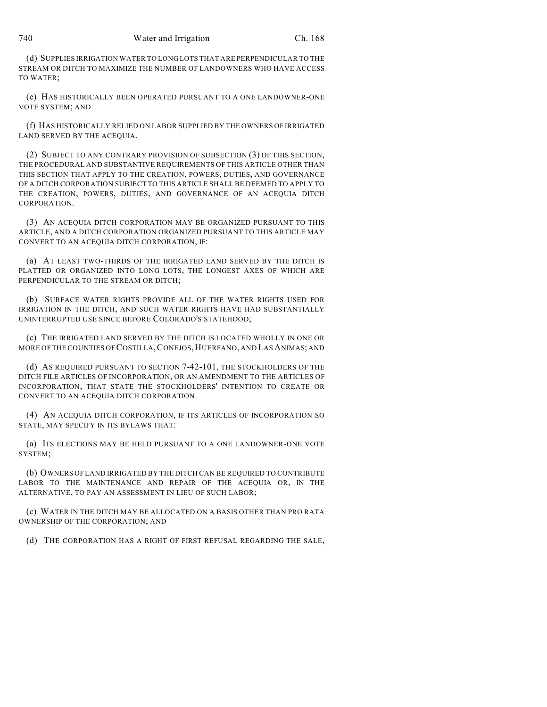(d) SUPPLIES IRRIGATION WATER TO LONG LOTS THAT ARE PERPENDICULAR TO THE STREAM OR DITCH TO MAXIMIZE THE NUMBER OF LANDOWNERS WHO HAVE ACCESS TO WATER;

(e) HAS HISTORICALLY BEEN OPERATED PURSUANT TO A ONE LANDOWNER-ONE VOTE SYSTEM; AND

(f) HAS HISTORICALLY RELIED ON LABOR SUPPLIED BY THE OWNERS OF IRRIGATED LAND SERVED BY THE ACEQUIA.

(2) SUBJECT TO ANY CONTRARY PROVISION OF SUBSECTION (3) OF THIS SECTION, THE PROCEDURAL AND SUBSTANTIVE REQUIREMENTS OF THIS ARTICLE OTHER THAN THIS SECTION THAT APPLY TO THE CREATION, POWERS, DUTIES, AND GOVERNANCE OF A DITCH CORPORATION SUBJECT TO THIS ARTICLE SHALL BE DEEMED TO APPLY TO THE CREATION, POWERS, DUTIES, AND GOVERNANCE OF AN ACEQUIA DITCH CORPORATION.

(3) AN ACEQUIA DITCH CORPORATION MAY BE ORGANIZED PURSUANT TO THIS ARTICLE, AND A DITCH CORPORATION ORGANIZED PURSUANT TO THIS ARTICLE MAY CONVERT TO AN ACEQUIA DITCH CORPORATION, IF:

(a) AT LEAST TWO-THIRDS OF THE IRRIGATED LAND SERVED BY THE DITCH IS PLATTED OR ORGANIZED INTO LONG LOTS, THE LONGEST AXES OF WHICH ARE PERPENDICULAR TO THE STREAM OR DITCH;

(b) SURFACE WATER RIGHTS PROVIDE ALL OF THE WATER RIGHTS USED FOR IRRIGATION IN THE DITCH, AND SUCH WATER RIGHTS HAVE HAD SUBSTANTIALLY UNINTERRUPTED USE SINCE BEFORE COLORADO'S STATEHOOD;

(c) THE IRRIGATED LAND SERVED BY THE DITCH IS LOCATED WHOLLY IN ONE OR MORE OF THE COUNTIES OF COSTILLA,CONEJOS,HUERFANO, AND LAS ANIMAS; AND

(d) AS REQUIRED PURSUANT TO SECTION 7-42-101, THE STOCKHOLDERS OF THE DITCH FILE ARTICLES OF INCORPORATION, OR AN AMENDMENT TO THE ARTICLES OF INCORPORATION, THAT STATE THE STOCKHOLDERS' INTENTION TO CREATE OR CONVERT TO AN ACEQUIA DITCH CORPORATION.

(4) AN ACEQUIA DITCH CORPORATION, IF ITS ARTICLES OF INCORPORATION SO STATE, MAY SPECIFY IN ITS BYLAWS THAT:

(a) ITS ELECTIONS MAY BE HELD PURSUANT TO A ONE LANDOWNER-ONE VOTE SYSTEM;

(b) OWNERS OFLAND IRRIGATED BY THE DITCH CAN BE REQUIRED TO CONTRIBUTE LABOR TO THE MAINTENANCE AND REPAIR OF THE ACEQUIA OR, IN THE ALTERNATIVE, TO PAY AN ASSESSMENT IN LIEU OF SUCH LABOR;

(c) WATER IN THE DITCH MAY BE ALLOCATED ON A BASIS OTHER THAN PRO RATA OWNERSHIP OF THE CORPORATION; AND

(d) THE CORPORATION HAS A RIGHT OF FIRST REFUSAL REGARDING THE SALE,